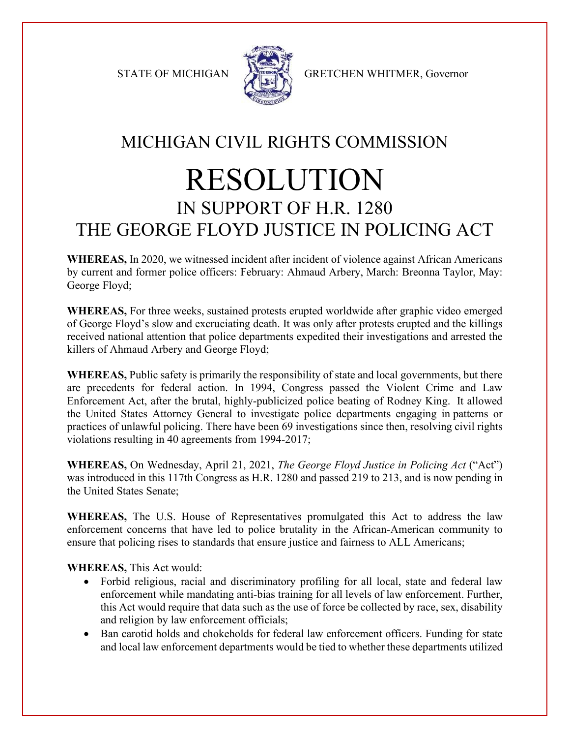

STATE OF MICHIGAN GRETCHEN WHITMER, Governor

## MICHIGAN CIVIL RIGHTS COMMISSION RESOLUTION IN SUPPORT OF H.R. 1280 THE GEORGE FLOYD JUSTICE IN POLICING ACT

**WHEREAS,** In 2020, we witnessed incident after incident of violence against African Americans by current and former police officers: February: Ahmaud Arbery, March: Breonna Taylor, May: George Floyd;

**WHEREAS,** For three weeks, sustained protests erupted worldwide after graphic video emerged of George Floyd's slow and excruciating death. It was only after protests erupted and the killings received national attention that police departments expedited their investigations and arrested the killers of Ahmaud Arbery and George Floyd;

**WHEREAS,** Public safety is primarily the responsibility of state and local governments, but there are precedents for federal action. In 1994, Congress passed the Violent Crime and Law Enforcement Act, after the brutal, highly-publicized police beating of Rodney King. It allowed the United States Attorney General to investigate police departments engaging in patterns or practices of unlawful policing. There have been 69 investigations since then, resolving civil rights violations resulting in 40 agreements from 1994-2017;

**WHEREAS,** On Wednesday, April 21, 2021, *The George Floyd Justice in Policing Act* ("Act") was introduced in this 117th Congress as H.R. 1280 and passed 219 to 213, and is now pending in the United States Senate;

**WHEREAS,** The U.S. House of Representatives promulgated this Act to address the law enforcement concerns that have led to police brutality in the African-American community to ensure that policing rises to standards that ensure justice and fairness to ALL Americans;

**WHEREAS,** This Act would:

- Forbid religious, racial and discriminatory profiling for all local, state and federal law enforcement while mandating anti-bias training for all levels of law enforcement. Further, this Act would require that data such as the use of force be collected by race, sex, disability and religion by law enforcement officials;
- Ban carotid holds and chokeholds for federal law enforcement officers. Funding for state and local law enforcement departments would be tied to whether these departments utilized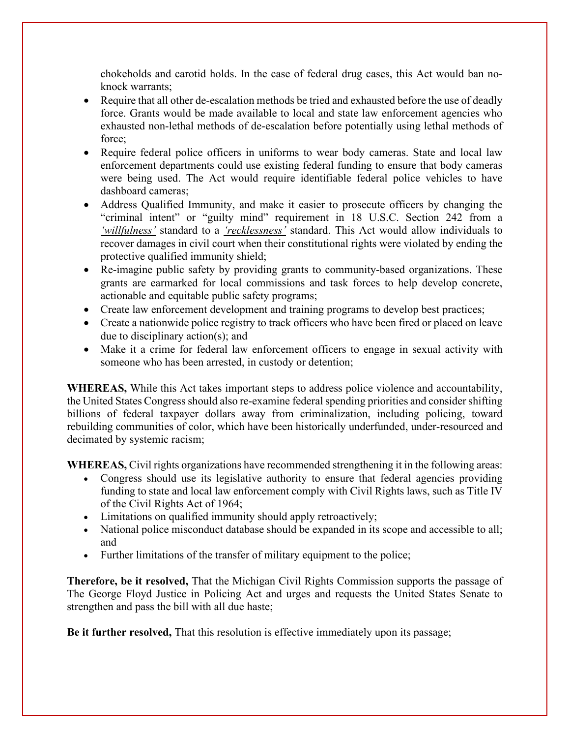chokeholds and carotid holds. In the case of federal drug cases, this Act would ban noknock warrants;

- Require that all other de-escalation methods be tried and exhausted before the use of deadly force. Grants would be made available to local and state law enforcement agencies who exhausted non-lethal methods of de-escalation before potentially using lethal methods of force;
- Require federal police officers in uniforms to wear body cameras. State and local law enforcement departments could use existing federal funding to ensure that body cameras were being used. The Act would require identifiable federal police vehicles to have dashboard cameras;
- Address Qualified Immunity, and make it easier to prosecute officers by changing the "criminal intent" or "guilty mind" requirement in 18 U.S.C. Section 242 from a *'willfulness'* standard to a *'recklessness'* standard. This Act would allow individuals to recover damages in civil court when their constitutional rights were violated by ending the protective qualified immunity shield;
- Re-imagine public safety by providing grants to community-based organizations. These grants are earmarked for local commissions and task forces to help develop concrete, actionable and equitable public safety programs;
- Create law enforcement development and training programs to develop best practices;
- Create a nationwide police registry to track officers who have been fired or placed on leave due to disciplinary action(s); and
- Make it a crime for federal law enforcement officers to engage in sexual activity with someone who has been arrested, in custody or detention;

**WHEREAS,** While this Act takes important steps to address police violence and accountability, the United States Congress should also re-examine federal spending priorities and consider shifting billions of federal taxpayer dollars away from criminalization, including policing, toward rebuilding communities of color, which have been historically underfunded, under-resourced and decimated by systemic racism;

**WHEREAS,** Civil rights organizations have recommended strengthening it in the following areas:

- Congress should use its legislative authority to ensure that federal agencies providing funding to state and local law enforcement comply with Civil Rights laws, such as Title IV of the Civil Rights Act of 1964;
- Limitations on qualified immunity should apply retroactively;
- National police misconduct database should be expanded in its scope and accessible to all; and
- Further limitations of the transfer of military equipment to the police;

**Therefore, be it resolved,** That the Michigan Civil Rights Commission supports the passage of The George Floyd Justice in Policing Act and urges and requests the United States Senate to strengthen and pass the bill with all due haste;

**Be it further resolved,** That this resolution is effective immediately upon its passage;